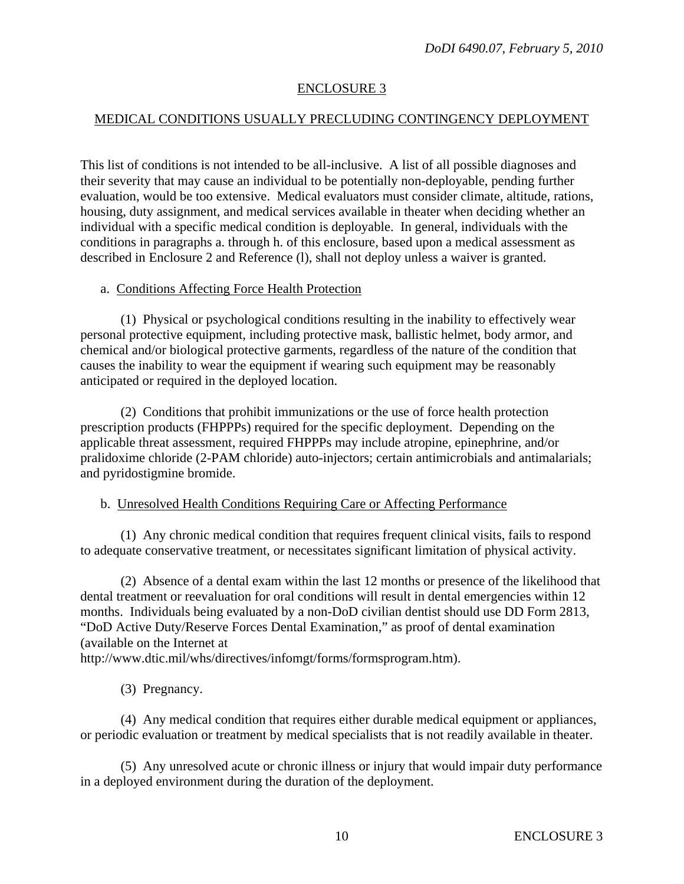# ENCLOSURE 3

# MEDICAL CONDITIONS USUALLY PRECLUDING CONTINGENCY DEPLOYMENT

This list of conditions is not intended to be all-inclusive. A list of all possible diagnoses and their severity that may cause an individual to be potentially non-deployable, pending further evaluation, would be too extensive. Medical evaluators must consider climate, altitude, rations, housing, duty assignment, and medical services available in theater when deciding whether an individual with a specific medical condition is deployable. In general, individuals with the conditions in paragraphs a. through h. of this enclosure, based upon a medical assessment as described in Enclosure 2 and Reference (l), shall not deploy unless a waiver is granted.

### a. Conditions Affecting Force Health Protection

 (1) Physical or psychological conditions resulting in the inability to effectively wear personal protective equipment, including protective mask, ballistic helmet, body armor, and chemical and/or biological protective garments, regardless of the nature of the condition that causes the inability to wear the equipment if wearing such equipment may be reasonably anticipated or required in the deployed location.

 (2) Conditions that prohibit immunizations or the use of force health protection prescription products (FHPPPs) required for the specific deployment. Depending on the applicable threat assessment, required FHPPPs may include atropine, epinephrine, and/or pralidoxime chloride (2-PAM chloride) auto-injectors; certain antimicrobials and antimalarials; and pyridostigmine bromide.

## b. Unresolved Health Conditions Requiring Care or Affecting Performance

 (1) Any chronic medical condition that requires frequent clinical visits, fails to respond to adequate conservative treatment, or necessitates significant limitation of physical activity.

 (2) Absence of a dental exam within the last 12 months or presence of the likelihood that dental treatment or reevaluation for oral conditions will result in dental emergencies within 12 months. Individuals being evaluated by a non-DoD civilian dentist should use DD Form 2813, "DoD Active Duty/Reserve Forces Dental Examination," as proof of dental examination (available on the Internet at

http://www.dtic.mil/whs/directives/infomgt/forms/formsprogram.htm).

(3) Pregnancy.

 (4) Any medical condition that requires either durable medical equipment or appliances, or periodic evaluation or treatment by medical specialists that is not readily available in theater.

 (5) Any unresolved acute or chronic illness or injury that would impair duty performance in a deployed environment during the duration of the deployment.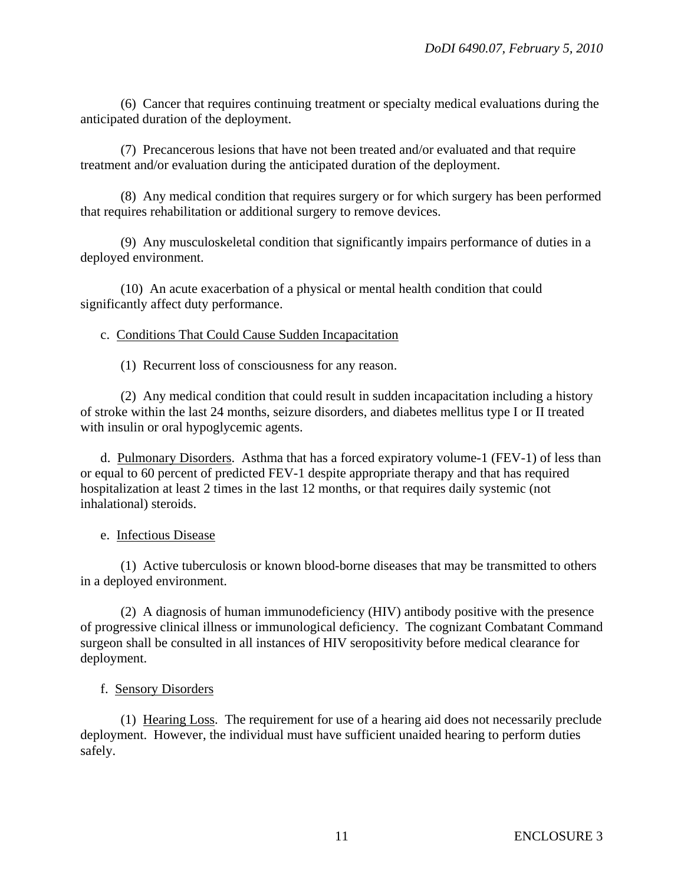(6) Cancer that requires continuing treatment or specialty medical evaluations during the anticipated duration of the deployment.

 (7) Precancerous lesions that have not been treated and/or evaluated and that require treatment and/or evaluation during the anticipated duration of the deployment.

 (8) Any medical condition that requires surgery or for which surgery has been performed that requires rehabilitation or additional surgery to remove devices.

 (9) Any musculoskeletal condition that significantly impairs performance of duties in a deployed environment.

 (10) An acute exacerbation of a physical or mental health condition that could significantly affect duty performance.

c. Conditions That Could Cause Sudden Incapacitation

(1) Recurrent loss of consciousness for any reason.

 (2) Any medical condition that could result in sudden incapacitation including a history of stroke within the last 24 months, seizure disorders, and diabetes mellitus type I or II treated with insulin or oral hypoglycemic agents.

 d. Pulmonary Disorders. Asthma that has a forced expiratory volume-1 (FEV-1) of less than or equal to 60 percent of predicted FEV-1 despite appropriate therapy and that has required hospitalization at least 2 times in the last 12 months, or that requires daily systemic (not inhalational) steroids.

#### e. Infectious Disease

 (1) Active tuberculosis or known blood-borne diseases that may be transmitted to others in a deployed environment.

 (2) A diagnosis of human immunodeficiency (HIV) antibody positive with the presence of progressive clinical illness or immunological deficiency. The cognizant Combatant Command surgeon shall be consulted in all instances of HIV seropositivity before medical clearance for deployment.

#### f. Sensory Disorders

 (1) Hearing Loss. The requirement for use of a hearing aid does not necessarily preclude deployment. However, the individual must have sufficient unaided hearing to perform duties safely.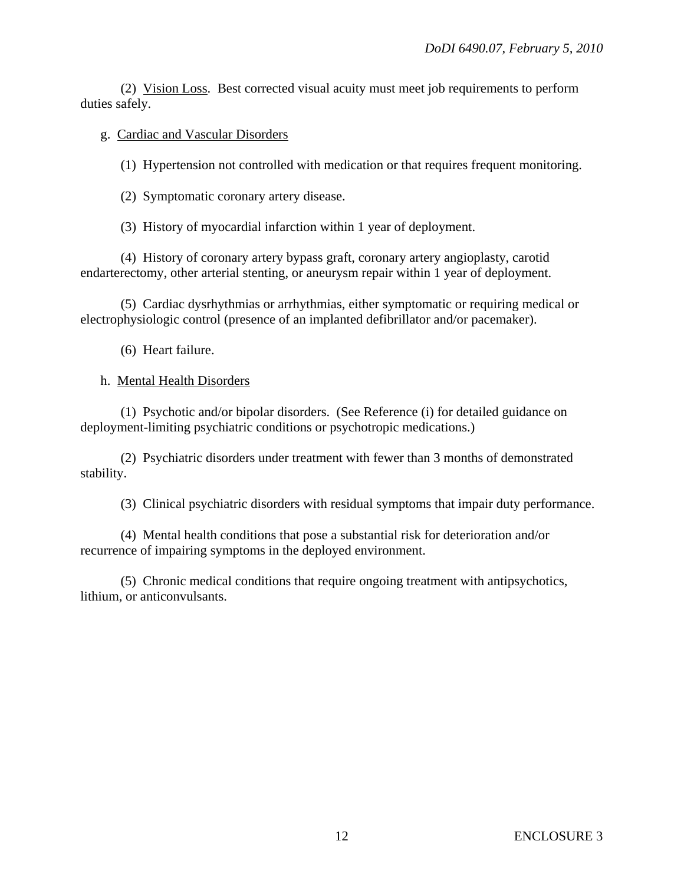(2) Vision Loss. Best corrected visual acuity must meet job requirements to perform duties safely.

## g. Cardiac and Vascular Disorders

(1) Hypertension not controlled with medication or that requires frequent monitoring.

(2) Symptomatic coronary artery disease.

(3) History of myocardial infarction within 1 year of deployment.

 (4) History of coronary artery bypass graft, coronary artery angioplasty, carotid endarterectomy, other arterial stenting, or aneurysm repair within 1 year of deployment.

 (5) Cardiac dysrhythmias or arrhythmias, either symptomatic or requiring medical or electrophysiologic control (presence of an implanted defibrillator and/or pacemaker).

(6) Heart failure.

# h. Mental Health Disorders

 (1) Psychotic and/or bipolar disorders. (See Reference (i) for detailed guidance on deployment-limiting psychiatric conditions or psychotropic medications.)

 (2) Psychiatric disorders under treatment with fewer than 3 months of demonstrated stability.

(3) Clinical psychiatric disorders with residual symptoms that impair duty performance.

 (4) Mental health conditions that pose a substantial risk for deterioration and/or recurrence of impairing symptoms in the deployed environment.

 (5) Chronic medical conditions that require ongoing treatment with antipsychotics, lithium, or anticonvulsants.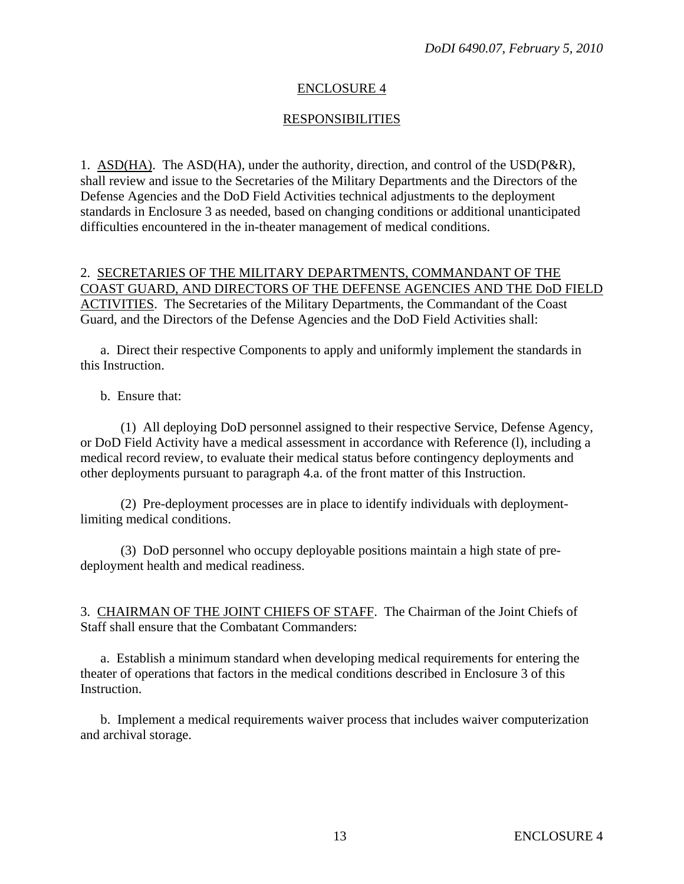## ENCLOSURE 4

# RESPONSIBILITIES

1. ASD(HA). The ASD(HA), under the authority, direction, and control of the USD(P&R), shall review and issue to the Secretaries of the Military Departments and the Directors of the Defense Agencies and the DoD Field Activities technical adjustments to the deployment standards in Enclosure 3 as needed, based on changing conditions or additional unanticipated difficulties encountered in the in-theater management of medical conditions.

### 2. SECRETARIES OF THE MILITARY DEPARTMENTS, COMMANDANT OF THE COAST GUARD, AND DIRECTORS OF THE DEFENSE AGENCIES AND THE DoD FIELD ACTIVITIES. The Secretaries of the Military Departments, the Commandant of the Coast Guard, and the Directors of the Defense Agencies and the DoD Field Activities shall:

 a. Direct their respective Components to apply and uniformly implement the standards in this Instruction.

b. Ensure that:

 (1) All deploying DoD personnel assigned to their respective Service, Defense Agency, or DoD Field Activity have a medical assessment in accordance with Reference (l), including a medical record review, to evaluate their medical status before contingency deployments and other deployments pursuant to paragraph 4.a. of the front matter of this Instruction.

 (2) Pre-deployment processes are in place to identify individuals with deploymentlimiting medical conditions.

 (3) DoD personnel who occupy deployable positions maintain a high state of predeployment health and medical readiness.

3. CHAIRMAN OF THE JOINT CHIEFS OF STAFF. The Chairman of the Joint Chiefs of Staff shall ensure that the Combatant Commanders:

 a. Establish a minimum standard when developing medical requirements for entering the theater of operations that factors in the medical conditions described in Enclosure 3 of this Instruction.

 b. Implement a medical requirements waiver process that includes waiver computerization and archival storage.